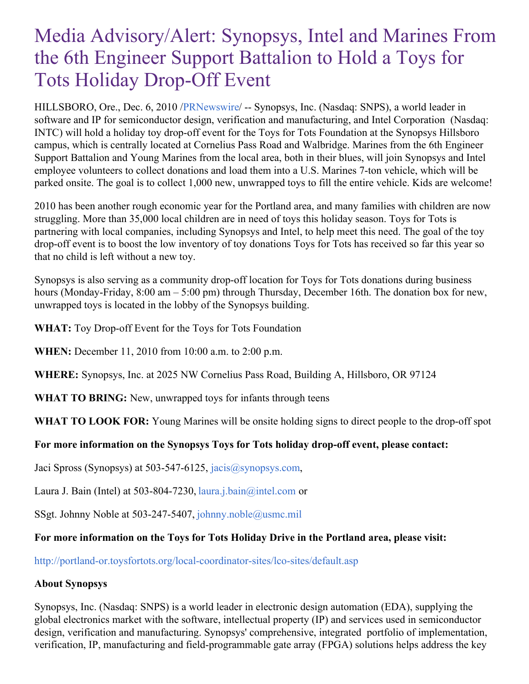# Media Advisory/Alert: Synopsys, Intel and Marines From the 6th Engineer Support Battalion to Hold a Toys for Tots Holiday Drop-Off Event

HILLSBORO, Ore., Dec. 6, 2010 /[PRNewswire](http://www.prnewswire.com/)/ -- Synopsys, Inc. (Nasdaq: SNPS), a world leader in software and IP for semiconductor design, verification and manufacturing, and Intel Corporation (Nasdaq: INTC) will hold a holiday toy drop-off event for the Toys for Tots Foundation at the Synopsys Hillsboro campus, which is centrally located at Cornelius Pass Road and Walbridge. Marines from the 6th Engineer Support Battalion and Young Marines from the local area, both in their blues, will join Synopsys and Intel employee volunteers to collect donations and load them into a U.S. Marines 7-ton vehicle, which will be parked onsite. The goal is to collect 1,000 new, unwrapped toys to fill the entire vehicle. Kids are welcome!

2010 has been another rough economic year for the Portland area, and many families with children are now struggling. More than 35,000 local children are in need of toys this holiday season. Toys for Tots is partnering with local companies, including Synopsys and Intel, to help meet this need. The goal of the toy drop-off event is to boost the low inventory of toy donations Toys for Tots has received so far this year so that no child is left without a new toy.

Synopsys is also serving as a community drop-off location for Toys for Tots donations during business hours (Monday-Friday, 8:00 am – 5:00 pm) through Thursday, December 16th. The donation box for new, unwrapped toys is located in the lobby of the Synopsys building.

**WHAT:** Toy Drop-off Event for the Toys for Tots Foundation

**WHEN:** December 11, 2010 from 10:00 a.m. to 2:00 p.m.

**WHERE:** Synopsys, Inc. at 2025 NW Cornelius Pass Road, Building A, Hillsboro, OR 97124

**WHAT TO BRING:** New, unwrapped toys for infants through teens

**WHAT TO LOOK FOR:** Young Marines will be onsite holding signs to direct people to the drop-off spot

### **For more information on the Synopsys Toys for Tots holiday drop-off event, please contact:**

Jaci Spross (Synopsys) at 503-547-6125, [jacis@synopsys.com](mailto:jacis@synopsys.com),

Laura J. Bain (Intel) at 503-804-7230, [laura.j.bain@intel.com](mailto:laura.j.bain@intel.com) or

SSgt. Johnny Noble at 503-247-5407, [johnny.noble@usmc.mil](mailto:johnny.noble@usmc.mil)

### **For more information on the Toys for Tots Holiday Drive in the Portland area, please visit:**

<http://portland-or.toysfortots.org/local-coordinator-sites/lco-sites/default.asp>

### **About Synopsys**

Synopsys, Inc. (Nasdaq: SNPS) is a world leader in electronic design automation (EDA), supplying the global electronics market with the software, intellectual property (IP) and services used in semiconductor design, verification and manufacturing. Synopsys' comprehensive, integrated portfolio of implementation, verification, IP, manufacturing and field-programmable gate array (FPGA) solutions helps address the key